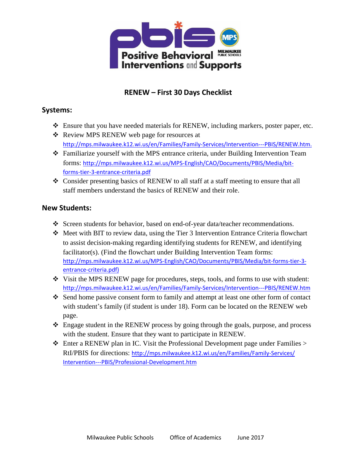

## **RENEW – First 30 Days Checklist**

#### **Systems:**

- Ensure that you have needed materials for RENEW, including markers, poster paper, etc.
- Review MPS RENEW web page for resources at <http://mps.milwaukee.k12.wi.us/en/Families/Family-Services/Intervention---PBIS/RENEW.htm>.
- Familiarize yourself with the MPS entrance criteria, under Building Intervention Team forms: [http://mps.milwaukee.k12.wi.us/MPS-English/CAO/Documents/PBIS/Media/bit](http://mps.milwaukee.k12.wi.us/MPS-English/CAO/Documents/PBIS/Media/bit-forms-tier-3-entrance-criteria.pdf)[forms-tier-3-entrance-criteria.pdf](http://mps.milwaukee.k12.wi.us/MPS-English/CAO/Documents/PBIS/Media/bit-forms-tier-3-entrance-criteria.pdf)
- $\div$  Consider presenting basics of RENEW to all staff at a staff meeting to ensure that all staff members understand the basics of RENEW and their role.

#### **New Students:**

- Screen students for behavior, based on end-of-year data/teacher recommendations.
- Meet with BIT to review data, using the Tier 3 Intervention Entrance Criteria flowchart to assist decision-making regarding identifying students for RENEW, and identifying facilitator(s). (Find the flowchart under Building Intervention Team forms: [http://mps.milwaukee.k12.wi.us/MPS-English/CAO/Documents/PBIS/Media/bit-forms-tier-3](http://mps.milwaukee.k12.wi.us/MPS-English/CAO/Documents/PBIS/Media/bit-forms-tier-3-entrance-criteria.pdf) [entrance-criteria.pdf](http://mps.milwaukee.k12.wi.us/MPS-English/CAO/Documents/PBIS/Media/bit-forms-tier-3-entrance-criteria.pdf))
- Visit the MPS RENEW page for procedures, steps, tools, and forms to use with student: <http://mps.milwaukee.k12.wi.us/en/Families/Family-Services/Intervention---PBIS/RENEW.htm>
- Send home passive consent form to family and attempt at least one other form of contact with student's family (if student is under 18). Form can be located on the RENEW web page.
- $\div$  Engage student in the RENEW process by going through the goals, purpose, and process with the student. Ensure that they want to participate in RENEW.
- $\triangle$  Enter a RENEW plan in IC. Visit the Professional Development page under Families  $>$ RtI/PBIS for directions: h[ttp://mps.milwaukee.k12.wi.us/en/Families/Family-Se](http://mps.milwaukee.k12.wi.us/en/Families/Family-Services/Intervention---PBIS/Professional-Development.htm)rvices/ [Intervention---PBIS/Professional-Development.htm](http://mps.milwaukee.k12.wi.us/en/Families/Family-Services/Intervention---PBIS/Professional-Development.htm)